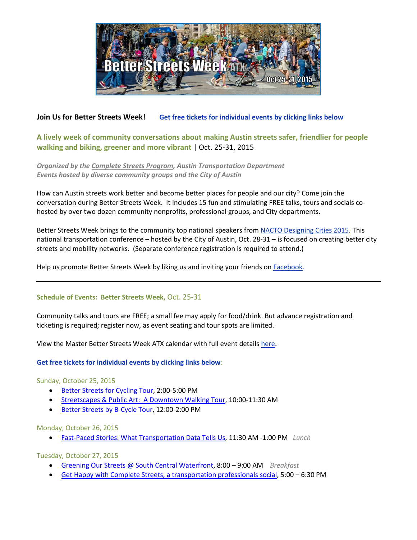

## **Join Us for Better Streets Week! Get free tickets for individual events by clicking links below**

# **A lively week of community conversations about making Austin streets safer, friendlier for people walking and biking, greener and more vibrant** | Oct. 25-31, 2015

Organized by the <u>Complete Streets Program</u>, Austin Transportation Department<br>Events hosted by diverse community groups and the City of Austin *Events hosted by diverse community groups and the City of Austin*

How can Austin streets work better and become better places for people and our city? Come join the<br>conversation during Better Streets Week. It includes 15 fun and stimulating FREE talks, tours and soci conversation during Better Streets Week. It includes 15 fun and stimulating FREE talks, tours and socials cohosted by over two dozen community nonprofits, professional groups, and City departments.<br>

Better Streets Week brings to the community top national speakers fro[m NACTO Designing Cities 2015.](http://nacto.org/conference/designing-cities-conference-austin-2015/?view=schedule) This national transportation conference – hosted by the City of Austin, Oct. 28-31 – is focused on creating better city streets and mobility networks. (Separate conference registration is required to attend.)

Help us promote Better Streets Week by liking us and inviting your friends on [Facebook.](https://www.facebook.com/betterstreetsweekatx)

### **Schedule of Events: Better Streets Week,** Oct. 25-31

Community talks and tours are FREE; a small fee may apply for food/drink. But advance registration and ticketing is required; register now, as event seating and tour spots are limited.

View the Master Better Streets Week ATX calendar with full event details [here.](http://austintexas.gov/sites/default/files/files/Transportation/Complete_Streets/Better_Streets_Week_SCHEDULE_10-2-15.pdf)

### **Get free tickets for individual events by clicking links below**:

### Sunday, October 25, 2015

- [Better Streets for Cycling Tour,](https://www.eventbrite.com/e/bike-austin-better-streets-for-cycling-tour-tickets-18801808716?ref=estw) 2:00-5:00 PM
- [Streetscapes & Public Art: A Downtown Walking Tour,](https://www.eventbrite.com/e/streetscapes-public-art-a-downtown-walking-tour-tickets-18905420622?ref=estw) 10:00-11:30 AM
- [Better Streets by B-Cycle Tour,](https://www.eventbrite.com/e/better-streets-by-b-cycle-tour-tickets-18905583108?ref=estw) 12:00-2:00 PM

Monday, October 26, 2015

[Fast-Paced Stories: What Transportation Data Tells Us,](https://www.eventbrite.com/e/fast-paced-stories-what-transportation-data-tells-us-tickets-18873464039?ref=estw) 11:30 AM -1:00 PM *Lunch*

Tuesday, October 27, 2015

- [Greening Our Streets @ South Central Waterfront,](https://www.eventbrite.com/e/greening-our-streets-south-central-waterfront-tickets-18874042770?ref=estw) 8:00 9:00 AM *Breakfast*
- [Get Happy with Complete Streets, a transportation professionals social,](https://www.eventbrite.com/e/get-happy-with-complete-streets-tickets-18874713777?ref=estw) 5:00 6:30 PM